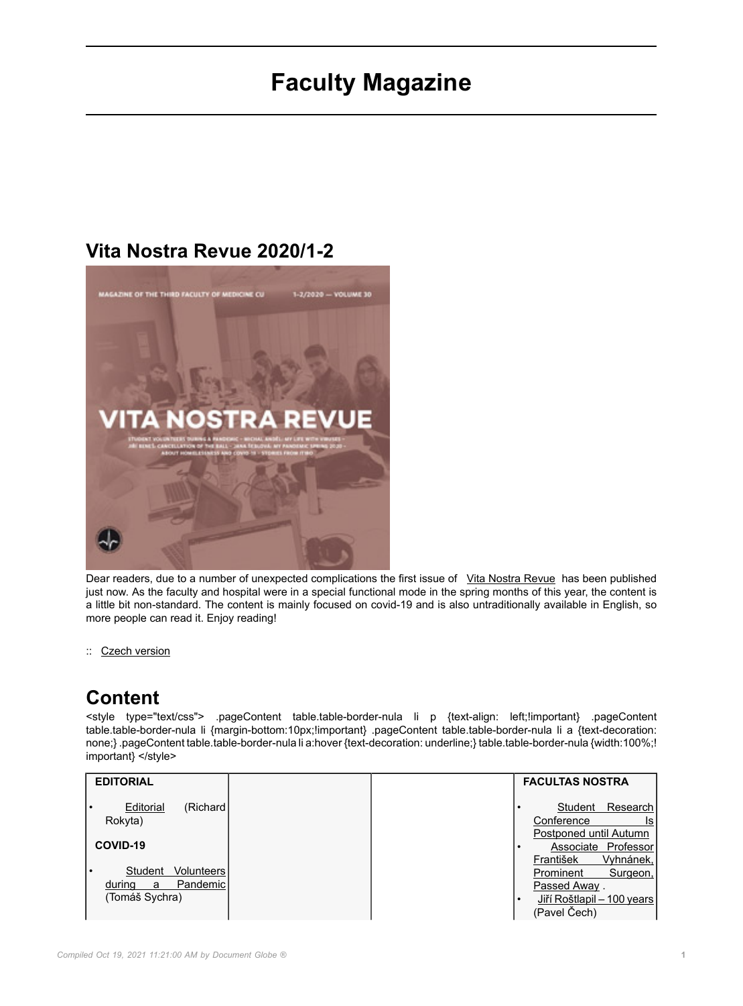## **Faculty Magazine**

## **Vita Nostra Revue 2020/1-2**



Dear readers, due to a number of unexpected complications the first issue of [Vita Nostra Revue](https://fl.lf3.cuni.cz/svi/3LF%20-%20DOKUMENTY/VNR/VNR%202020/VNR%202020-1,2%20EN.pdf#pagemode=bookmarks) has been published just now. As the faculty and hospital were in a special functional mode in the spring months of this year, the content is a little bit non-standard. The content is mainly focused on covid-19 and is also untraditionally available in English, so more people can read it. Enjoy reading!

:: [Czech version](https://www.lf3.cuni.cz/3LF-1855.html)

## **Content**

<style type="text/css"> .pageContent table.table-border-nula li p {text-align: left;!important} .pageContent table.table-border-nula li {margin-bottom:10px;!important} .pageContent table.table-border-nula li a {text-decoration: none;} .pageContent table.table-border-nula li a:hover {text-decoration: underline;} table.table-border-nula {width:100%;! important} </style>

| <b>EDITORIAL</b>                                  |  | <b>FACULTAS NOSTRA</b>                                                     |
|---------------------------------------------------|--|----------------------------------------------------------------------------|
| Editorial<br>(Richard)<br>Rokyta)                 |  | Research <sup>'</sup><br>Student<br>Conference<br>ls                       |
| COVID-19                                          |  | Postponed until Autumn<br>Professor<br>Associate<br>Vyhnánek,<br>František |
| Volunteers<br>Student<br>Pandemic!<br>during<br>a |  | Prominent<br>Surgeon,<br>Passed Away.                                      |
| (Tomáš Sychra)                                    |  | Jiří Roštlapil – 100 years<br>(Pavel Čech)                                 |